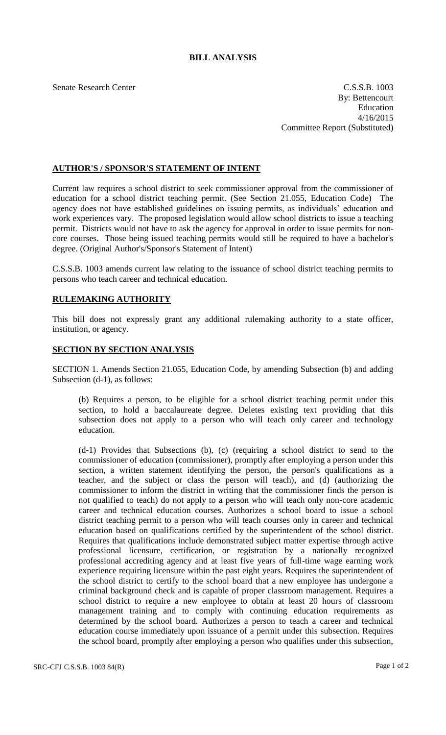## **BILL ANALYSIS**

Senate Research Center C.S.S.B. 1003 By: Bettencourt Education 4/16/2015 Committee Report (Substituted)

## **AUTHOR'S / SPONSOR'S STATEMENT OF INTENT**

Current law requires a school district to seek commissioner approval from the commissioner of education for a school district teaching permit. (See Section 21.055, Education Code) The agency does not have established guidelines on issuing permits, as individuals' education and work experiences vary. The proposed legislation would allow school districts to issue a teaching permit. Districts would not have to ask the agency for approval in order to issue permits for noncore courses. Those being issued teaching permits would still be required to have a bachelor's degree. (Original Author's/Sponsor's Statement of Intent)

C.S.S.B. 1003 amends current law relating to the issuance of school district teaching permits to persons who teach career and technical education.

## **RULEMAKING AUTHORITY**

This bill does not expressly grant any additional rulemaking authority to a state officer, institution, or agency.

## **SECTION BY SECTION ANALYSIS**

SECTION 1. Amends Section 21.055, Education Code, by amending Subsection (b) and adding Subsection (d-1), as follows:

(b) Requires a person, to be eligible for a school district teaching permit under this section, to hold a baccalaureate degree. Deletes existing text providing that this subsection does not apply to a person who will teach only career and technology education.

(d-1) Provides that Subsections (b), (c) (requiring a school district to send to the commissioner of education (commissioner), promptly after employing a person under this section, a written statement identifying the person, the person's qualifications as a teacher, and the subject or class the person will teach), and (d) (authorizing the commissioner to inform the district in writing that the commissioner finds the person is not qualified to teach) do not apply to a person who will teach only non-core academic career and technical education courses. Authorizes a school board to issue a school district teaching permit to a person who will teach courses only in career and technical education based on qualifications certified by the superintendent of the school district. Requires that qualifications include demonstrated subject matter expertise through active professional licensure, certification, or registration by a nationally recognized professional accrediting agency and at least five years of full-time wage earning work experience requiring licensure within the past eight years. Requires the superintendent of the school district to certify to the school board that a new employee has undergone a criminal background check and is capable of proper classroom management. Requires a school district to require a new employee to obtain at least 20 hours of classroom management training and to comply with continuing education requirements as determined by the school board. Authorizes a person to teach a career and technical education course immediately upon issuance of a permit under this subsection. Requires the school board, promptly after employing a person who qualifies under this subsection,